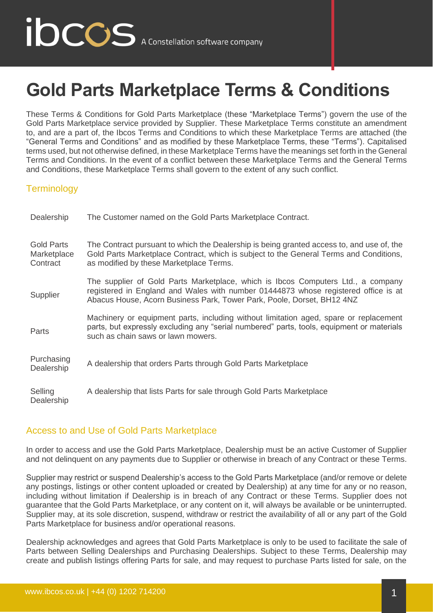# **Gold Parts Marketplace Terms & Conditions**

These Terms & Conditions for Gold Parts Marketplace (these "Marketplace Terms") govern the use of the Gold Parts Marketplace service provided by Supplier. These Marketplace Terms constitute an amendment to, and are a part of, the Ibcos Terms and Conditions to which these Marketplace Terms are attached (the "General Terms and Conditions" and as modified by these Marketplace Terms, these "Terms"). Capitalised terms used, but not otherwise defined, in these Marketplace Terms have the meanings set forth in the General Terms and Conditions. In the event of a conflict between these Marketplace Terms and the General Terms and Conditions, these Marketplace Terms shall govern to the extent of any such conflict.

### **Terminology**

| Dealership                                   | The Customer named on the Gold Parts Marketplace Contract.                                                                                                                                                                                       |
|----------------------------------------------|--------------------------------------------------------------------------------------------------------------------------------------------------------------------------------------------------------------------------------------------------|
| <b>Gold Parts</b><br>Marketplace<br>Contract | The Contract pursuant to which the Dealership is being granted access to, and use of, the<br>Gold Parts Marketplace Contract, which is subject to the General Terms and Conditions,<br>as modified by these Marketplace Terms.                   |
| Supplier                                     | The supplier of Gold Parts Marketplace, which is Ibcos Computers Ltd., a company<br>registered in England and Wales with number 01444873 whose registered office is at<br>Abacus House, Acorn Business Park, Tower Park, Poole, Dorset, BH12 4NZ |
| Parts                                        | Machinery or equipment parts, including without limitation aged, spare or replacement<br>parts, but expressly excluding any "serial numbered" parts, tools, equipment or materials<br>such as chain saws or lawn mowers.                         |
| Purchasing<br>Dealership                     | A dealership that orders Parts through Gold Parts Marketplace                                                                                                                                                                                    |
| Selling<br>Dealership                        | A dealership that lists Parts for sale through Gold Parts Marketplace                                                                                                                                                                            |

# Access to and Use of Gold Parts Marketplace

In order to access and use the Gold Parts Marketplace, Dealership must be an active Customer of Supplier and not delinquent on any payments due to Supplier or otherwise in breach of any Contract or these Terms.

Supplier may restrict or suspend Dealership's access to the Gold Parts Marketplace (and/or remove or delete any postings, listings or other content uploaded or created by Dealership) at any time for any or no reason, including without limitation if Dealership is in breach of any Contract or these Terms. Supplier does not guarantee that the Gold Parts Marketplace, or any content on it, will always be available or be uninterrupted. Supplier may, at its sole discretion, suspend, withdraw or restrict the availability of all or any part of the Gold Parts Marketplace for business and/or operational reasons.

Dealership acknowledges and agrees that Gold Parts Marketplace is only to be used to facilitate the sale of Parts between Selling Dealerships and Purchasing Dealerships. Subject to these Terms, Dealership may create and publish listings offering Parts for sale, and may request to purchase Parts listed for sale, on the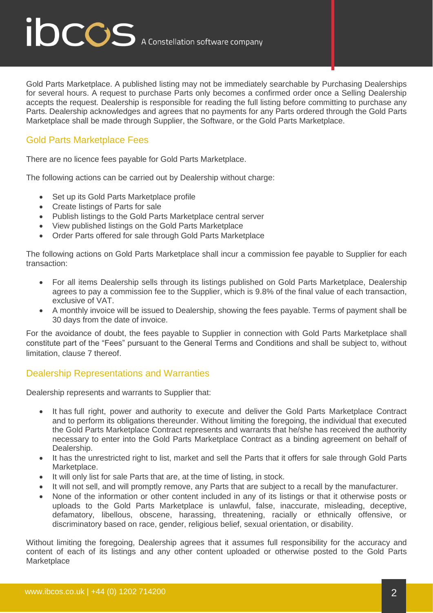ibccos A Constellation software company

Gold Parts Marketplace. A published listing may not be immediately searchable by Purchasing Dealerships for several hours. A request to purchase Parts only becomes a confirmed order once a Selling Dealership accepts the request. Dealership is responsible for reading the full listing before committing to purchase any Parts. Dealership acknowledges and agrees that no payments for any Parts ordered through the Gold Parts Marketplace shall be made through Supplier, the Software, or the Gold Parts Marketplace.

### Gold Parts Marketplace Fees

There are no licence fees payable for Gold Parts Marketplace.

The following actions can be carried out by Dealership without charge:

- Set up its Gold Parts Marketplace profile
- Create listings of Parts for sale
- Publish listings to the Gold Parts Marketplace central server
- View published listings on the Gold Parts Marketplace
- Order Parts offered for sale through Gold Parts Marketplace

The following actions on Gold Parts Marketplace shall incur a commission fee payable to Supplier for each transaction:

- For all items Dealership sells through its listings published on Gold Parts Marketplace, Dealership agrees to pay a commission fee to the Supplier, which is 9.8% of the final value of each transaction, exclusive of VAT.
- A monthly invoice will be issued to Dealership, showing the fees payable. Terms of payment shall be 30 days from the date of invoice.

For the avoidance of doubt, the fees payable to Supplier in connection with Gold Parts Marketplace shall constitute part of the "Fees" pursuant to the General Terms and Conditions and shall be subject to, without limitation, clause 7 thereof.

#### Dealership Representations and Warranties

Dealership represents and warrants to Supplier that:

- It has [full right,](https://www.lawinsider.com/dictionary/full-right) power and [authority to execute and deliver](https://www.lawinsider.com/clause/authority-to-execute-and-deliver) [the Gold Parts Marketplace Contract](https://www.lawinsider.com/clause/this-agreement-and)  [and](https://www.lawinsider.com/clause/this-agreement-and) to [perform](https://www.lawinsider.com/clause/perform) its [obligations](https://www.lawinsider.com/clause/obligations) thereunder. Without limiting the foregoing, the individual that executed the Gold Parts Marketplace Contract represents and warrants that he/she has received the authority necessary to enter into the Gold Parts Marketplace Contract as a binding agreement on behalf of Dealership.
- It has the unrestricted right to list, market and sell the Parts that it offers for sale through Gold Parts Marketplace.
- It will only list for sale Parts that are, at the time of listing, in stock.
- It will not sell, and will promptly remove, any Parts that are subject to a recall by the manufacturer.
- None of the information or other content included in any of its listings or that it otherwise posts or uploads to the Gold Parts Marketplace is unlawful, false, inaccurate, misleading, deceptive, defamatory, libellous, obscene, harassing, threatening, racially or ethnically offensive, or discriminatory based on race, gender, religious belief, sexual orientation, or disability.

Without limiting the foregoing, Dealership agrees that it assumes full responsibility for the accuracy and content of each of its listings and any other content uploaded or otherwise posted to the Gold Parts **Marketplace**